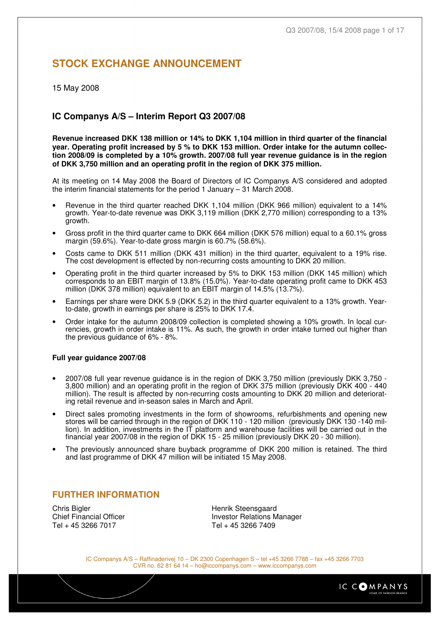# **STOCK EXCHANGE ANNOUNCEMENT**

15 May 2008

### **IC Companys A/S – Interim Report Q3 2007/08**

**Revenue increased DKK 138 million or 14% to DKK 1,104 million in third quarter of the financial year. Operating profit increased by 5 % to DKK 153 million. Order intake for the autumn collection 2008/09 is completed by a 10% growth. 2007/08 full year revenue guidance is in the region of DKK 3,750 million and an operating profit in the region of DKK 375 million.**

At its meeting on 14 May 2008 the Board of Directors of IC Companys A/S considered and adopted the interim financial statements for the period 1 January – 31 March 2008.

- Revenue in the third quarter reached DKK 1,104 million (DKK 966 million) equivalent to a 14% growth. Year-to-date revenue was DKK 3,119 million (DKK 2,770 million) corresponding to a 13% growth.
- Gross profit in the third quarter came to DKK 664 million (DKK 576 million) equal to a 60.1% gross margin (59.6%). Year-to-date gross margin is 60.7% (58.6%).
- Costs came to DKK 511 million (DKK 431 million) in the third quarter, equivalent to a 19% rise. The cost development is effected by non-recurring costs amounting to DKK 20 million.
- Operating profit in the third quarter increased by 5% to DKK 153 million (DKK 145 million) which corresponds to an EBIT margin of 13.8% (15.0%). Year-to-date operating profit came to DKK 453 million (DKK 378 million) equivalent to an EBIT margin of 14.5% (13.7%).
- Earnings per share were DKK 5.9 (DKK 5.2) in the third quarter equivalent to a 13% growth. Yearto-date, growth in earnings per share is 25% to DKK 17.4.
- Order intake for the autumn 2008/09 collection is completed showing a 10% growth. In local currencies, growth in order intake is 11%. As such, the growth in order intake turned out higher than the previous guidance of 6% - 8%.

#### **Full year guidance 2007/08**

- 2007/08 full year revenue guidance is in the region of DKK 3,750 million (previously DKK 3,750 3,800 million) and an operating profit in the region of DKK 375 million (previously DKK 400 - 440 million). The result is affected by non-recurring costs amounting to DKK 20 million and deteriorating retail revenue and in-season sales in March and April.
- Direct sales promoting investments in the form of showrooms, refurbishments and opening new stores will be carried through in the region of DKK 110 - 120 million (previously DKK 130 -140 million). In addition, investments in the IT platform and warehouse facilities will be carried out in the financial year 2007/08 in the region of DKK 15 - 25 million (previously DKK 20 - 30 million).
- The previously announced share buyback programme of DKK 200 million is retained. The third and last programme of DKK 47 million will be initiated 15 May 2008.

### **FURTHER INFORMATION**

Chris Bigler **Chris Bigler** Chris Bigler **Henrik Steensgaard**<br>
Chief Financial Officer **Christian Stephen Christian Investor Relations M** Tel + 45 3266 7017 Tel + 45 3266 7409

**Investor Relations Manager** 

IC Companys A/S – Raffinaderivej 10 – DK 2300 Copenhagen S – tel +45 3266 7788 – fax +45 3266 7703 CVR no. 62 81 64 14 – ho@iccompanys.com – www.iccompanys.com

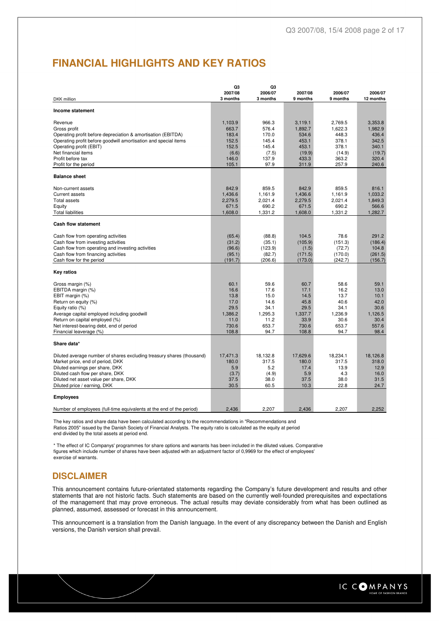# **FINANCIAL HIGHLIGHTS AND KEY RATIOS**

|                                                                        | Q3                  | Q3            |                     |                     |                      |
|------------------------------------------------------------------------|---------------------|---------------|---------------------|---------------------|----------------------|
|                                                                        | 2007/08<br>3 months | 2006/07       | 2007/08<br>9 months | 2006/07<br>9 months | 2006/07<br>12 months |
| DKK million                                                            |                     | 3 months      |                     |                     |                      |
| Income statement                                                       |                     |               |                     |                     |                      |
| Revenue                                                                | 1,103.9             | 966.3         | 3,119.1             | 2,769.5             | 3,353.8              |
| Gross profit                                                           | 663.7               | 576.4         | 1,892.7             | 1,622.3             | 1,982.9              |
| Operating profit before depreciation & amortisation (EBITDA)           | 183.4               | 170.0         | 534.6               | 448.3               | 436.4                |
| Operating profit before goodwill amortisation and special items        | 152.5               | 145.4         | 453.1               | 378.1               | 342.5                |
| Operating profit (EBIT)                                                | 152.5               | 145.4         | 453.1               | 378.1               | 340.1                |
| Net financial items                                                    | (6.6)               | (7.5)         | (19.9)              | (14.9)              | (19.7)               |
| Profit before tax                                                      | 146.0               | 137.9         | 433.3               | 363.2               | 320.4                |
| Profit for the period                                                  | 105.1               | 97.9          | 311.9               | 257.9               | 240.6                |
| <b>Balance sheet</b>                                                   |                     |               |                     |                     |                      |
| Non-current assets                                                     | 842.9               | 859.5         | 842.9               | 859.5               | 816.1                |
| <b>Current assets</b>                                                  | 1,436.6             | 1,161.9       | 1,436.6             | 1,161.9             | 1.033.2              |
| <b>Total assets</b>                                                    | 2,279.5             | 2,021.4       | 2,279.5             | 2,021.4             | 1,849.3              |
| Equity                                                                 | 671.5               | 690.2         | 671.5               | 690.2               | 566.6                |
| <b>Total liabilities</b>                                               | 1,608.0             | 1,331.2       | 1,608.0             | 1,331.2             | 1,282.7              |
| <b>Cash flow statement</b>                                             |                     |               |                     |                     |                      |
| Cash flow from operating activities                                    | (65.4)              | (88.8)        | 104.5               | 78.6                | 291.2                |
| Cash flow from investing activities                                    | (31.2)              | (35.1)        | (105.9)             | (151.3)             | (186.4)              |
| Cash flow from operating and investing activities                      | (96.6)              | (123.9)       | (1.5)               | (72.7)              | 104.8                |
| Cash flow from financing activities                                    | (95.1)              | (82.7)        | (171.5)             | (170.0)             | (261.5)              |
| Cash flow for the period                                               | (191.7)             | (206.6)       | (173.0)             | (242.7)             | (156.7)              |
| Key ratios                                                             |                     |               |                     |                     |                      |
| Gross margin (%)                                                       | 60.1                | 59.6          | 60.7                | 58.6                | 59.1                 |
| EBITDA margin (%)                                                      | 16.6                | 17.6          | 17.1                | 16.2                | 13.0                 |
| EBIT margin (%)                                                        | 13.8                | 15.0          | 14.5                | 13.7                | 10.1                 |
| Return on equity (%)                                                   | 17.0                | 14.6          | 45.8                | 40.6                | 42.0                 |
| Equity ratio (%)                                                       | 29.5                | 34.1          | 29.5                | 34.1                | 30.6                 |
| Average capital employed including goodwill                            | 1,386.2             | 1,295.3       | 1,337.7             | 1,236.9             | 1.126.5              |
| Return on capital employed (%)                                         | 11.0                | 11.2          | 33.9                | 30.6                | 30.4                 |
| Net interest-bearing debt, end of period<br>Financial leaverage (%)    | 730.6<br>108.8      | 653.7<br>94.7 | 730.6<br>108.8      | 653.7<br>94.7       | 557.6<br>98.4        |
| Share data*                                                            |                     |               |                     |                     |                      |
|                                                                        |                     |               |                     |                     |                      |
| Diluted average number of shares excluding treasury shares (thousand)  | 17,471.3            | 18,132.8      | 17,629.6            | 18,234.1            | 18,126.8             |
| Market price, end of period, DKK                                       | 180.0               | 317.5         | 180.0               | 317.5               | 318.0                |
| Diluted earnings per share, DKK                                        | 5.9                 | 5.2           | 17.4                | 13.9                | 12.9                 |
| Diluted cash flow per share, DKK                                       | (3.7)               | (4.9)         | 5.9                 | 4.3                 | 16.0                 |
| Diluted net asset value per share, DKK<br>Diluted price / earning, DKK | 37.5<br>30.5        | 38.0<br>60.5  | 37.5<br>10.3        | 38.0<br>22.8        | 31.5<br>24.7         |
| <b>Employees</b>                                                       |                     |               |                     |                     |                      |
|                                                                        |                     |               |                     |                     |                      |
| Number of employees (full-time equivalents at the end of the period)   | 2,436               | 2,207         | 2,436               | 2,207               | 2,252                |

The key ratios and share data have been calculated according to the recommendations in "Recommendations and Ratios 2005" issued by the Danish Society of Financial Analysts. The equity ratio is calculated as the equity at period end divided by the total assets at period end.

\* The effect of IC Companys' programmes for share options and warrants has been included in the diluted values. Comparative figures which include number of shares have been adjusted with an adjustment factor of 0,9969 for the effect of employees' exercise of warrants.

## **DISCLAIMER**

This announcement contains future-orientated statements regarding the Company's future development and results and other statements that are not historic facts. Such statements are based on the currently well-founded prerequisites and expectations of the management that may prove erroneous. The actual results may deviate considerably from what has been outlined as planned, assumed, assessed or forecast in this announcement.

This announcement is a translation from the Danish language. In the event of any discrepancy between the Danish and English versions, the Danish version shall prevail.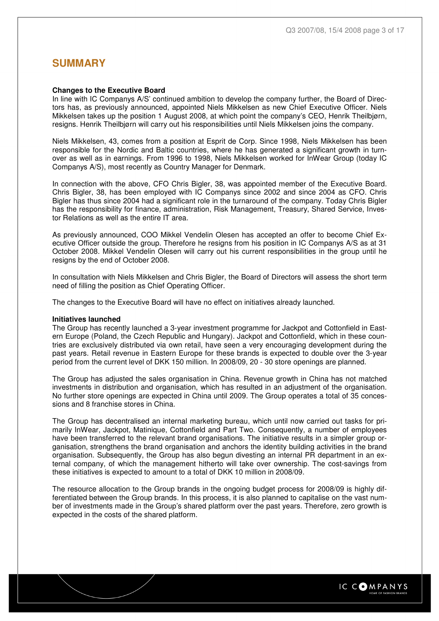## **SUMMARY**

#### **Changes to the Executive Board**

In line with IC Companys A/S' continued ambition to develop the company further, the Board of Directors has, as previously announced, appointed Niels Mikkelsen as new Chief Executive Officer. Niels Mikkelsen takes up the position 1 August 2008, at which point the company's CEO, Henrik Theilbjørn, resigns. Henrik Theilbjørn will carry out his responsibilities until Niels Mikkelsen joins the company.

Niels Mikkelsen, 43, comes from a position at Esprit de Corp. Since 1998, Niels Mikkelsen has been responsible for the Nordic and Baltic countries, where he has generated a significant growth in turnover as well as in earnings. From 1996 to 1998, Niels Mikkelsen worked for InWear Group (today IC Companys A/S), most recently as Country Manager for Denmark.

In connection with the above, CFO Chris Bigler, 38, was appointed member of the Executive Board. Chris Bigler, 38, has been employed with IC Companys since 2002 and since 2004 as CFO. Chris Bigler has thus since 2004 had a significant role in the turnaround of the company. Today Chris Bigler has the responsibility for finance, administration, Risk Management, Treasury, Shared Service, Investor Relations as well as the entire IT area.

As previously announced, COO Mikkel Vendelin Olesen has accepted an offer to become Chief Executive Officer outside the group. Therefore he resigns from his position in IC Companys A/S as at 31 October 2008. Mikkel Vendelin Olesen will carry out his current responsibilities in the group until he resigns by the end of October 2008.

In consultation with Niels Mikkelsen and Chris Bigler, the Board of Directors will assess the short term need of filling the position as Chief Operating Officer.

The changes to the Executive Board will have no effect on initiatives already launched.

#### **Initiatives launched**

The Group has recently launched a 3-year investment programme for Jackpot and Cottonfield in Eastern Europe (Poland, the Czech Republic and Hungary). Jackpot and Cottonfield, which in these countries are exclusively distributed via own retail, have seen a very encouraging development during the past years. Retail revenue in Eastern Europe for these brands is expected to double over the 3-year period from the current level of DKK 150 million. In 2008/09, 20 - 30 store openings are planned.

The Group has adjusted the sales organisation in China. Revenue growth in China has not matched investments in distribution and organisation, which has resulted in an adjustment of the organisation. No further store openings are expected in China until 2009. The Group operates a total of 35 concessions and 8 franchise stores in China.

The Group has decentralised an internal marketing bureau, which until now carried out tasks for primarily InWear, Jackpot, Matinique, Cottonfield and Part Two. Consequently, a number of employees have been transferred to the relevant brand organisations. The initiative results in a simpler group organisation, strengthens the brand organisation and anchors the identity building activities in the brand organisation. Subsequently, the Group has also begun divesting an internal PR department in an external company, of which the management hitherto will take over ownership. The cost-savings from these initiatives is expected to amount to a total of DKK 10 million in 2008/09.

The resource allocation to the Group brands in the ongoing budget process for 2008/09 is highly differentiated between the Group brands. In this process, it is also planned to capitalise on the vast number of investments made in the Group's shared platform over the past years. Therefore, zero growth is expected in the costs of the shared platform.

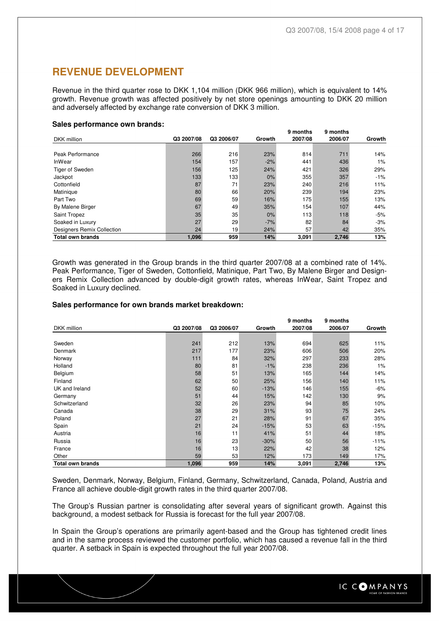## **REVENUE DEVELOPMENT**

Revenue in the third quarter rose to DKK 1,104 million (DKK 966 million), which is equivalent to 14% growth. Revenue growth was affected positively by net store openings amounting to DKK 20 million and adversely affected by exchange rate conversion of DKK 3 million.

#### **Sales performance own brands:**

|                            |            |            |        | 9 months | 9 months |        |
|----------------------------|------------|------------|--------|----------|----------|--------|
| DKK million                | Q3 2007/08 | Q3 2006/07 | Growth | 2007/08  | 2006/07  | Growth |
|                            |            |            |        |          |          |        |
| Peak Performance           | 266        | 216        | 23%    | 814      | 711      | 14%    |
| InWear                     | 154        | 157        | $-2%$  | 441      | 436      | 1%     |
| Tiger of Sweden            | 156        | 125        | 24%    | 421      | 326      | 29%    |
| Jackpot                    | 133        | 133        | 0%     | 355      | 357      | $-1%$  |
| Cottonfield                | 87         | 71         | 23%    | 240      | 216      | 11%    |
| Matinique                  | 80         | 66         | 20%    | 239      | 194      | 23%    |
| Part Two                   | 69         | 59         | 16%    | 175      | 155      | 13%    |
| By Malene Birger           | 67         | 49         | 35%    | 154      | 107      | 44%    |
| Saint Tropez               | 35         | 35         | 0%     | 113      | 118      | $-5%$  |
| Soaked in Luxury           | 27         | 29         | $-7%$  | 82       | 84       | $-3%$  |
| Designers Remix Collection | 24         | 19         | 24%    | 57       | 42       | 35%    |
| <b>Total own brands</b>    | 1,096      | 959        | 14%    | 3,091    | 2,746    | 13%    |

Growth was generated in the Group brands in the third quarter 2007/08 at a combined rate of 14%. Peak Performance, Tiger of Sweden, Cottonfield, Matinique, Part Two, By Malene Birger and Designers Remix Collection advanced by double-digit growth rates, whereas InWear, Saint Tropez and Soaked in Luxury declined.

#### **Sales performance for own brands market breakdown:**

|                         |            |            |        | 9 months | 9 months |        |
|-------------------------|------------|------------|--------|----------|----------|--------|
| DKK million             | Q3 2007/08 | Q3 2006/07 | Growth | 2007/08  | 2006/07  | Growth |
|                         |            |            |        |          |          |        |
| Sweden                  | 241        | 212        | 13%    | 694      | 625      | 11%    |
| Denmark                 | 217        | 177        | 23%    | 606      | 506      | 20%    |
| Norway                  | 111        | 84         | 32%    | 297      | 233      | 28%    |
| Holland                 | 80         | 81         | $-1%$  | 238      | 236      | 1%     |
| Belgium                 | 58         | 51         | 13%    | 165      | 144      | 14%    |
| Finland                 | 62         | 50         | 25%    | 156      | 140      | 11%    |
| UK and Ireland          | 52         | 60         | $-13%$ | 146      | 155      | $-6%$  |
| Germany                 | 51         | 44         | 15%    | 142      | 130      | 9%     |
| Schwitzerland           | 32         | 26         | 23%    | 94       | 85       | 10%    |
| Canada                  | 38         | 29         | 31%    | 93       | 75       | 24%    |
| Poland                  | 27         | 21         | 28%    | 91       | 67       | 35%    |
| Spain                   | 21         | 24         | $-15%$ | 53       | 63       | $-15%$ |
| Austria                 | 16         | 11         | 41%    | 51       | 44       | 18%    |
| Russia                  | 16         | 23         | $-30%$ | 50       | 56       | $-11%$ |
| France                  | 16         | 13         | 22%    | 42       | 38       | 12%    |
| Other                   | 59         | 53         | 12%    | 173      | 149      | 17%    |
| <b>Total own brands</b> | 1,096      | 959        | 14%    | 3,091    | 2,746    | 13%    |

Sweden, Denmark, Norway, Belgium, Finland, Germany, Schwitzerland, Canada, Poland, Austria and France all achieve double-digit growth rates in the third quarter 2007/08.

The Group's Russian partner is consolidating after several years of significant growth. Against this background, a modest setback for Russia is forecast for the full year 2007/08.

In Spain the Group's operations are primarily agent-based and the Group has tightened credit lines and in the same process reviewed the customer portfolio, which has caused a revenue fall in the third quarter. A setback in Spain is expected throughout the full year 2007/08.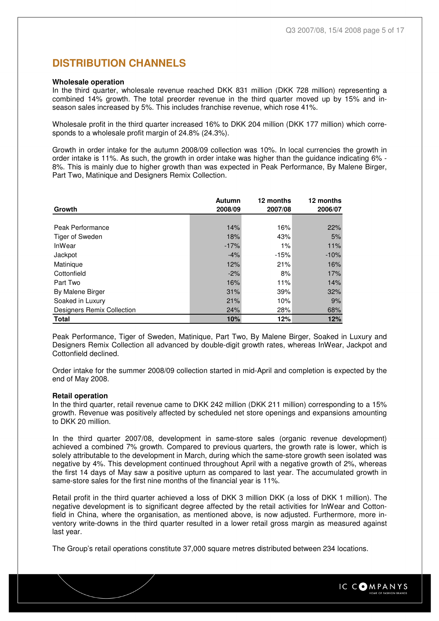## **DISTRIBUTION CHANNELS**

#### **Wholesale operation**

In the third quarter, wholesale revenue reached DKK 831 million (DKK 728 million) representing a combined 14% growth. The total preorder revenue in the third quarter moved up by 15% and inseason sales increased by 5%. This includes franchise revenue, which rose 41%.

Wholesale profit in the third quarter increased 16% to DKK 204 million (DKK 177 million) which corresponds to a wholesale profit margin of 24.8% (24.3%).

Growth in order intake for the autumn 2008/09 collection was 10%. In local currencies the growth in order intake is 11%. As such, the growth in order intake was higher than the guidance indicating 6% - 8%. This is mainly due to higher growth than was expected in Peak Performance, By Malene Birger, Part Two, Matinique and Designers Remix Collection.

| Growth                     | Autumn<br>2008/09 | 12 months<br>2007/08 | 12 months<br>2006/07 |
|----------------------------|-------------------|----------------------|----------------------|
|                            |                   |                      |                      |
| Peak Performance           | 14%               | 16%                  | 22%                  |
| Tiger of Sweden            | 18%               | 43%                  | 5%                   |
| <b>InWear</b>              | $-17%$            | 1%                   | 11%                  |
| Jackpot                    | $-4%$             | $-15%$               | $-10%$               |
| Matinique                  | 12%               | 21%                  | 16%                  |
| Cottonfield                | $-2%$             | 8%                   | 17%                  |
| Part Two                   | 16%               | 11%                  | 14%                  |
| By Malene Birger           | 31%               | 39%                  | 32%                  |
| Soaked in Luxury           | 21%               | 10%                  | 9%                   |
| Designers Remix Collection | 24%               | 28%                  | 68%                  |
| <b>Total</b>               | 10%               | 12%                  | 12%                  |

Peak Performance, Tiger of Sweden, Matinique, Part Two, By Malene Birger, Soaked in Luxury and Designers Remix Collection all advanced by double-digit growth rates, whereas InWear, Jackpot and Cottonfield declined.

Order intake for the summer 2008/09 collection started in mid-April and completion is expected by the end of May 2008.

#### **Retail operation**

In the third quarter, retail revenue came to DKK 242 million (DKK 211 million) corresponding to a 15% growth. Revenue was positively affected by scheduled net store openings and expansions amounting to DKK 20 million.

In the third quarter 2007/08, development in same-store sales (organic revenue development) achieved a combined 7% growth. Compared to previous quarters, the growth rate is lower, which is solely attributable to the development in March, during which the same-store growth seen isolated was negative by 4%. This development continued throughout April with a negative growth of 2%, whereas the first 14 days of May saw a positive upturn as compared to last year. The accumulated growth in same-store sales for the first nine months of the financial year is 11%.

Retail profit in the third quarter achieved a loss of DKK 3 million DKK (a loss of DKK 1 million). The negative development is to significant degree affected by the retail activities for InWear and Cottonfield in China, where the organisation, as mentioned above, is now adjusted. Furthermore, more inventory write-downs in the third quarter resulted in a lower retail gross margin as measured against last year.

The Group's retail operations constitute 37,000 square metres distributed between 234 locations.

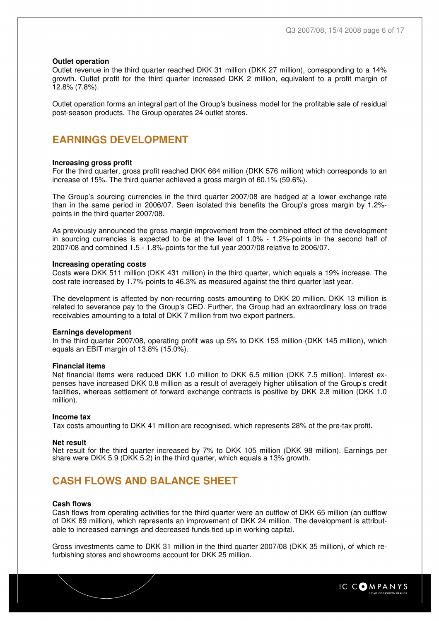#### **Outlet operation**

Outlet revenue in the third quarter reached DKK 31 million (DKK 27 million), corresponding to a 14% growth. Outlet profit for the third quarter increased DKK 2 million, equivalent to a profit margin of 12.8% (7.8%).

Outlet operation forms an integral part of the Group's business model for the profitable sale of residual post-season products. The Group operates 24 outlet stores.

## **EARNINGS DEVELOPMENT**

#### **Increasing gross profit**

For the third quarter, gross profit reached DKK 664 million (DKK 576 million) which corresponds to an increase of 15%. The third quarter achieved a gross margin of 60.1% (59.6%).

The Group's sourcing currencies in the third quarter 2007/08 are hedged at a lower exchange rate than in the same period in 2006/07. Seen isolated this benefits the Group's gross margin by 1.2% points in the third quarter 2007/08.

As previously announced the gross margin improvement from the combined effect of the development in sourcing currencies is expected to be at the level of 1.0% - 1.2%-points in the second half of 2007/08 and combined 1.5 - 1.8%-points for the full year 2007/08 relative to 2006/07.

#### **Increasing operating costs**

Costs were DKK 511 million (DKK 431 million) in the third quarter, which equals a 19% increase. The cost rate increased by 1.7%-points to 46.3% as measured against the third quarter last year.

The development is affected by non-recurring costs amounting to DKK 20 million. DKK 13 million is related to severance pay to the Group's CEO. Further, the Group had an extraordinary loss on trade receivables amounting to a total of DKK 7 million from two export partners.

#### **Earnings development**

In the third quarter 2007/08, operating profit was up 5% to DKK 153 million (DKK 145 million), which equals an EBIT margin of 13.8% (15.0%).

#### **Financial items**

Net financial items were reduced DKK 1.0 million to DKK 6.5 million (DKK 7.5 million). Interest expenses have increased DKK 0.8 million as a result of averagely higher utilisation of the Group's credit facilities, whereas settlement of forward exchange contracts is positive by DKK 2.8 million (DKK 1.0 million).

#### **Income tax**

Tax costs amounting to DKK 41 million are recognised, which represents 28% of the pre-tax profit.

#### **Net result**

Net result for the third quarter increased by 7% to DKK 105 million (DKK 98 million). Earnings per share were DKK 5.9 (DKK 5.2) in the third quarter, which equals a 13% growth.

## **CASH FLOWS AND BALANCE SHEET**

#### **Cash flows**

Cash flows from operating activities for the third quarter were an outflow of DKK 65 million (an outflow of DKK 89 million), which represents an improvement of DKK 24 million. The development is attributable to increased earnings and decreased funds tied up in working capital.

Gross investments came to DKK 31 million in the third quarter 2007/08 (DKK 35 million), of which refurbishing stores and showrooms account for DKK 25 million.

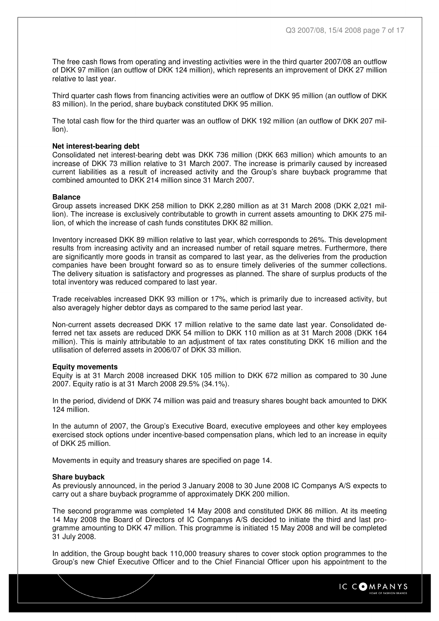The free cash flows from operating and investing activities were in the third quarter 2007/08 an outflow of DKK 97 million (an outflow of DKK 124 million), which represents an improvement of DKK 27 million relative to last year.

Third quarter cash flows from financing activities were an outflow of DKK 95 million (an outflow of DKK 83 million). In the period, share buyback constituted DKK 95 million.

The total cash flow for the third quarter was an outflow of DKK 192 million (an outflow of DKK 207 million).

#### **Net interest-bearing debt**

Consolidated net interest-bearing debt was DKK 736 million (DKK 663 million) which amounts to an increase of DKK 73 million relative to 31 March 2007. The increase is primarily caused by increased current liabilities as a result of increased activity and the Group's share buyback programme that combined amounted to DKK 214 million since 31 March 2007.

#### **Balance**

Group assets increased DKK 258 million to DKK 2,280 million as at 31 March 2008 (DKK 2,021 million). The increase is exclusively contributable to growth in current assets amounting to DKK 275 million, of which the increase of cash funds constitutes DKK 82 million.

Inventory increased DKK 89 million relative to last year, which corresponds to 26%. This development results from increasing activity and an increased number of retail square metres. Furthermore, there are significantly more goods in transit as compared to last year, as the deliveries from the production companies have been brought forward so as to ensure timely deliveries of the summer collections. The delivery situation is satisfactory and progresses as planned. The share of surplus products of the total inventory was reduced compared to last year.

Trade receivables increased DKK 93 million or 17%, which is primarily due to increased activity, but also averagely higher debtor days as compared to the same period last year.

Non-current assets decreased DKK 17 million relative to the same date last year. Consolidated deferred net tax assets are reduced DKK 54 million to DKK 110 million as at 31 March 2008 (DKK 164 million). This is mainly attributable to an adjustment of tax rates constituting DKK 16 million and the utilisation of deferred assets in 2006/07 of DKK 33 million.

#### **Equity movements**

Equity is at 31 March 2008 increased DKK 105 million to DKK 672 million as compared to 30 June 2007. Equity ratio is at 31 March 2008 29.5% (34.1%).

In the period, dividend of DKK 74 million was paid and treasury shares bought back amounted to DKK 124 million.

In the autumn of 2007, the Group's Executive Board, executive employees and other key employees exercised stock options under incentive-based compensation plans, which led to an increase in equity of DKK 25 million.

Movements in equity and treasury shares are specified on page 14.

#### **Share buyback**

As previously announced, in the period 3 January 2008 to 30 June 2008 IC Companys A/S expects to carry out a share buyback programme of approximately DKK 200 million.

The second programme was completed 14 May 2008 and constituted DKK 86 million. At its meeting 14 May 2008 the Board of Directors of IC Companys A/S decided to initiate the third and last programme amounting to DKK 47 million. This programme is initiated 15 May 2008 and will be completed 31 July 2008.

In addition, the Group bought back 110,000 treasury shares to cover stock option programmes to the Group's new Chief Executive Officer and to the Chief Financial Officer upon his appointment to the

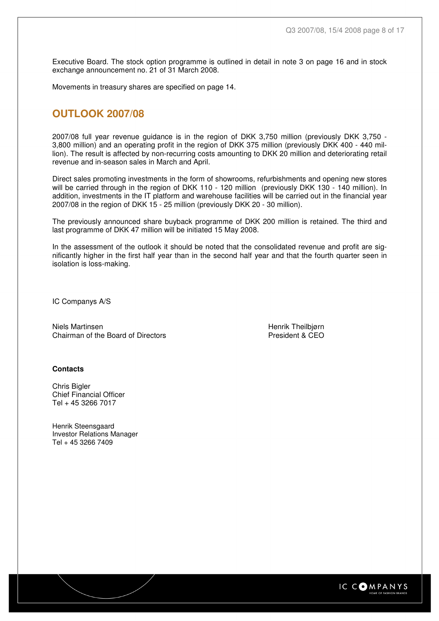Executive Board. The stock option programme is outlined in detail in note 3 on page 16 and in stock exchange announcement no. 21 of 31 March 2008.

Movements in treasury shares are specified on page 14.

## **OUTLOOK 2007/08**

2007/08 full year revenue guidance is in the region of DKK 3,750 million (previously DKK 3,750 - 3,800 million) and an operating profit in the region of DKK 375 million (previously DKK 400 - 440 million). The result is affected by non-recurring costs amounting to DKK 20 million and deteriorating retail revenue and in-season sales in March and April.

Direct sales promoting investments in the form of showrooms, refurbishments and opening new stores will be carried through in the region of DKK 110 - 120 million (previously DKK 130 - 140 million). In addition, investments in the IT platform and warehouse facilities will be carried out in the financial year 2007/08 in the region of DKK 15 - 25 million (previously DKK 20 - 30 million).

The previously announced share buyback programme of DKK 200 million is retained. The third and last programme of DKK 47 million will be initiated 15 May 2008.

In the assessment of the outlook it should be noted that the consolidated revenue and profit are significantly higher in the first half year than in the second half year and that the fourth quarter seen in isolation is loss-making.

IC Companys A/S

Niels Martinsen **Henrik Theilbjørn** Henrik Theilbjørn Chairman of the Board of Directors **President & CEO** 

#### **Contacts**

Chris Bigler Chief Financial Officer Tel + 45 3266 7017

Henrik Steensgaard Investor Relations Manager Tel + 45 3266 7409

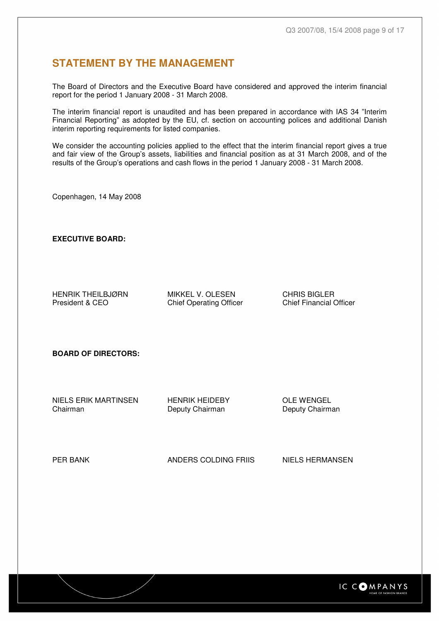## **STATEMENT BY THE MANAGEMENT**

The Board of Directors and the Executive Board have considered and approved the interim financial report for the period 1 January 2008 - 31 March 2008.

The interim financial report is unaudited and has been prepared in accordance with IAS 34 "Interim Financial Reporting" as adopted by the EU, cf. section on accounting polices and additional Danish interim reporting requirements for listed companies.

We consider the accounting policies applied to the effect that the interim financial report gives a true and fair view of the Group's assets, liabilities and financial position as at 31 March 2008, and of the results of the Group's operations and cash flows in the period 1 January 2008 - 31 March 2008.

Copenhagen, 14 May 2008

**EXECUTIVE BOARD:** 

HENRIK THEILBJØRN MIKKEL V. OLESEN CHRIS BIGLER<br>President & CEO Chief Operating Officer Chief Financial Officer

Chief Operating Officer

**BOARD OF DIRECTORS:** 

NIELS ERIK MARTINSEN HENRIK HEIDEBY OLE WENGEL

Deputy Chairman

PER BANK **ANDERS COLDING FRIIS** NIELS HERMANSEN

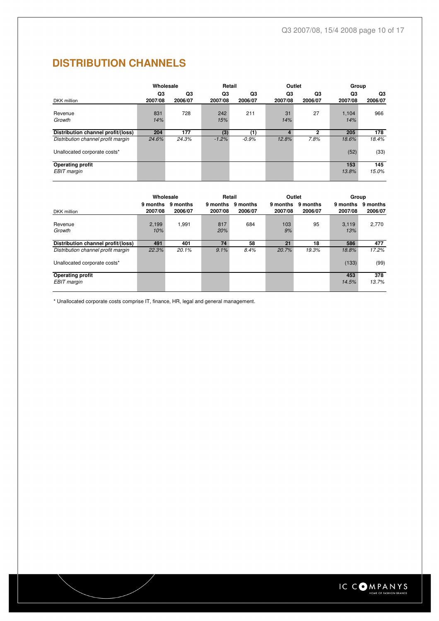# **DISTRIBUTION CHANNELS**

|                                               |               | Retail<br>Outlet<br>Group |               | Wholesale     |               |               |               |               |
|-----------------------------------------------|---------------|---------------------------|---------------|---------------|---------------|---------------|---------------|---------------|
| DKK million                                   | Q3<br>2007/08 | Q3<br>2006/07             | Q3<br>2007/08 | Q3<br>2006/07 | Q3<br>2007/08 | Q3<br>2006/07 | Q3<br>2007/08 | Q3<br>2006/07 |
| Revenue<br>Growth                             | 831<br>14%    | 728                       | 242<br>15%    | 211           | 31<br>14%     | 27            | 1.104<br>14%  | 966           |
| Distribution channel profit/(loss)            | 204           | 177                       | (3)           | (1)           |               | 2             | 205           | 178           |
| Distribution channel profit margin            | 24.6%         | 24.3%                     | $-1.2%$       | $-0.9%$       | 12.8%         | 7.8%          | 18.6%         | 18.4%         |
| Unallocated corporate costs*                  |               |                           |               |               |               |               | (52)          | (33)          |
| <b>Operating profit</b><br><b>EBIT</b> margin |               |                           |               |               |               |               | 153<br>13.8%  | 145<br>15.0%  |

|                                    | Wholesale           | Retail<br>Outlet<br>Group |                     |                     |                     |                     |                     |                     |
|------------------------------------|---------------------|---------------------------|---------------------|---------------------|---------------------|---------------------|---------------------|---------------------|
| DKK million                        | 9 months<br>2007/08 | 9 months<br>2006/07       | 9 months<br>2007/08 | 9 months<br>2006/07 | 9 months<br>2007/08 | 9 months<br>2006/07 | 9 months<br>2007/08 | 9 months<br>2006/07 |
| Revenue<br>Growth                  | 2,199<br>10%        | 1,991                     | 817<br>20%          | 684                 | 103<br>9%           | 95                  | 3,119<br>13%        | 2.770               |
| Distribution channel profit/(loss) | 491                 | 401                       | 74                  | 58                  | 21                  | 18                  | 586                 | 477                 |
| Distribution channel profit margin | 22.3%               | 20.1%                     | 9.1%                | 8.4%                | 20.7%               | 19.3%               | 18.8%               | 17.2%               |
| Unallocated corporate costs*       |                     |                           |                     |                     |                     |                     | (133)               | (99)                |
| <b>Operating profit</b>            |                     |                           |                     |                     |                     |                     | 453                 | 378                 |
| <b>EBIT</b> margin                 |                     |                           |                     |                     |                     |                     | 14.5%               | 13.7%               |
|                                    |                     |                           |                     |                     |                     |                     |                     |                     |

\* Unallocated corporate costs comprise IT, finance, HR, legal and general management.

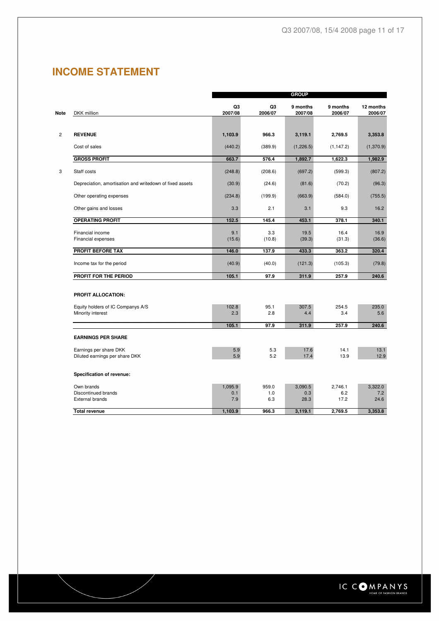# **INCOME STATEMENT**

|                                                          |               |               | <b>GROUP</b>        |                     |                      |
|----------------------------------------------------------|---------------|---------------|---------------------|---------------------|----------------------|
| DKK million                                              | Q3<br>2007/08 | Q3<br>2006/07 | 9 months<br>2007/08 | 9 months<br>2006/07 | 12 months<br>2006/07 |
|                                                          |               |               |                     |                     |                      |
| <b>REVENUE</b>                                           | 1,103.9       | 966.3         | 3,119.1             | 2,769.5             | 3,353.8              |
| Cost of sales                                            | (440.2)       | (389.9)       | (1,226.5)           | (1, 147.2)          | (1,370.9)            |
| <b>GROSS PROFIT</b>                                      | 663.7         | 576.4         | 1,892.7             | 1,622.3             | 1,982.9              |
| Staff costs                                              | (248.8)       | (208.6)       | (697.2)             | (599.3)             | (807.2)              |
| Depreciation, amortisation and writedown of fixed assets | (30.9)        | (24.6)        | (81.6)              | (70.2)              | (96.3)               |
| Other operating expenses                                 | (234.8)       | (199.9)       | (663.9)             | (584.0)             | (755.5)              |
| Other gains and losses                                   | 3.3           | 2.1           | 3.1                 | 9.3                 | 16.2                 |
| <b>OPERATING PROFIT</b>                                  | 152.5         | 145.4         | 453.1               | 378.1               | 340.1                |
| Financial income<br>Financial expenses                   | 9.1<br>(15.6) | 3.3<br>(10.8) | 19.5<br>(39.3)      | 16.4<br>(31.3)      | 16.9<br>(36.6)       |
| <b>PROFIT BEFORE TAX</b>                                 | 146.0         | 137.9         | 433.3               | 363.2               | 320.4                |
| Income tax for the period                                | (40.9)        | (40.0)        | (121.3)             | (105.3)             | (79.8)               |
| PROFIT FOR THE PERIOD                                    | 105.1         | 97.9          | 311.9               | 257.9               | 240.6                |
| <b>PROFIT ALLOCATION:</b>                                |               |               |                     |                     |                      |
| Equity holders of IC Companys A/S                        | 102.8         | 95.1          | 307.5               | 254.5               | 235.0                |
| Minority interest                                        | 2.3           | 2.8           | 4.4                 | 3.4                 | 5.6                  |
|                                                          | 105.1         | 97.9          | 311.9               | 257.9               | 240.6                |
| <b>EARNINGS PER SHARE</b>                                |               |               |                     |                     |                      |
| Earnings per share DKK<br>Diluted earnings per share DKK | 5.9<br>5.9    | 5.3<br>5.2    | 17.6<br>17.4        | 14.1<br>13.9        | 13.1<br>12.9         |
| Specification of revenue:                                |               |               |                     |                     |                      |
| Own brands                                               | 1,095.9       | 959.0         | 3,090.5             | 2,746.1             | 3,322.0              |
| Discontinued brands<br><b>External brands</b>            | 0.1<br>7.9    | 1.0<br>6.3    | 0.3<br>28.3         | 6.2<br>17.2         | 7.2<br>24.6          |
| <b>Total revenue</b>                                     | 1,103.9       | 966.3         | 3,119.1             | 2,769.5             | 3,353.8              |

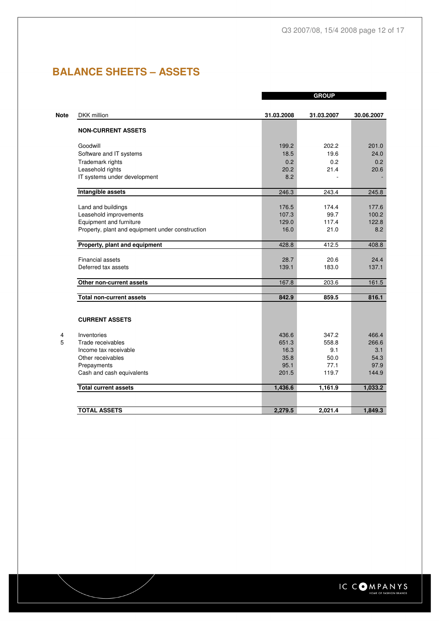# **BALANCE SHEETS – ASSETS**

|                                                  |            | <b>GROUP</b> |            |
|--------------------------------------------------|------------|--------------|------------|
| DKK million                                      | 31.03.2008 | 31.03.2007   | 30.06.2007 |
| <b>NON-CURRENT ASSETS</b>                        |            |              |            |
| Goodwill                                         | 199.2      | 202.2        | 201.0      |
| Software and IT systems                          | 18.5       | 19.6         | 24.0       |
| Trademark rights                                 | 0.2        | 0.2          | 0.2        |
| Leasehold rights                                 | 20.2       | 21.4         | 20.6       |
| IT systems under development                     | 8.2        |              |            |
| Intangible assets                                | 246.3      | 243.4        | 245.8      |
| Land and buildings                               | 176.5      | 174.4        | 177.6      |
| Leasehold improvements                           | 107.3      | 99.7         | 100.2      |
| Equipment and furniture                          | 129.0      | 117.4        | 122.8      |
| Property, plant and equipment under construction | 16.0       | 21.0         | 8.2        |
| Property, plant and equipment                    | 428.8      | 412.5        | 408.8      |
| Financial assets                                 | 28.7       | 20.6         | 24.4       |
| Deferred tax assets                              | 139.1      | 183.0        | 137.1      |
| Other non-current assets                         | 167.8      | 203.6        | 161.5      |
| <b>Total non-current assets</b>                  | 842.9      | 859.5        | 816.1      |
| <b>CURRENT ASSETS</b>                            |            |              |            |
| Inventories                                      | 436.6      | 347.2        | 466.4      |
| Trade receivables                                | 651.3      | 558.8        | 266.6      |
| Income tax receivable                            | 16.3       | 9.1          | 3.1        |
| Other receivables                                | 35.8       | 50.0         | 54.3       |
| Prepayments                                      | 95.1       | 77.1         | 97.9       |
| Cash and cash equivalents                        | 201.5      | 119.7        | 144.9      |
| <b>Total current assets</b>                      | 1,436.6    | 1,161.9      | 1,033.2    |
|                                                  |            |              |            |
| <b>TOTAL ASSETS</b>                              | 2,279.5    | 2,021.4      | 1,849.3    |

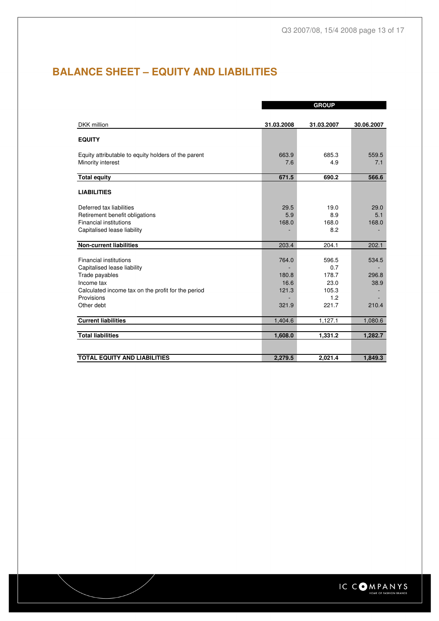# **BALANCE SHEET – EQUITY AND LIABILITIES**

|            | <b>GROUP</b>                                                      |                                                                   |
|------------|-------------------------------------------------------------------|-------------------------------------------------------------------|
|            |                                                                   |                                                                   |
| 31.03.2008 | 31.03.2007                                                        | 30.06.2007                                                        |
|            |                                                                   |                                                                   |
|            |                                                                   |                                                                   |
|            |                                                                   | 559.5                                                             |
|            |                                                                   | 7.1                                                               |
|            |                                                                   |                                                                   |
| 671.5      | 690.2                                                             | 566.6                                                             |
|            |                                                                   |                                                                   |
|            |                                                                   |                                                                   |
|            |                                                                   | 29.0                                                              |
|            | 8.9                                                               | 5.1                                                               |
| 168.0      | 168.0                                                             | 168.0                                                             |
|            | 8.2                                                               |                                                                   |
|            |                                                                   |                                                                   |
|            |                                                                   | 202.1                                                             |
|            |                                                                   | 534.5                                                             |
|            |                                                                   |                                                                   |
| 180.8      | 178.7                                                             | 296.8                                                             |
| 16.6       | 23.0                                                              | 38.9                                                              |
| 121.3      | 105.3                                                             |                                                                   |
|            | 1.2                                                               |                                                                   |
|            |                                                                   | 210.4                                                             |
|            |                                                                   | 1,080.6                                                           |
|            |                                                                   |                                                                   |
| 1,608.0    | 1,331.2                                                           | 1,282.7                                                           |
|            |                                                                   |                                                                   |
| 2,279.5    | 2,021.4                                                           | 1,849.3                                                           |
|            | 663.9<br>7.6<br>29.5<br>5.9<br>203.4<br>764.0<br>321.9<br>1,404.6 | 685.3<br>4.9<br>19.0<br>204.1<br>596.5<br>0.7<br>221.7<br>1,127.1 |

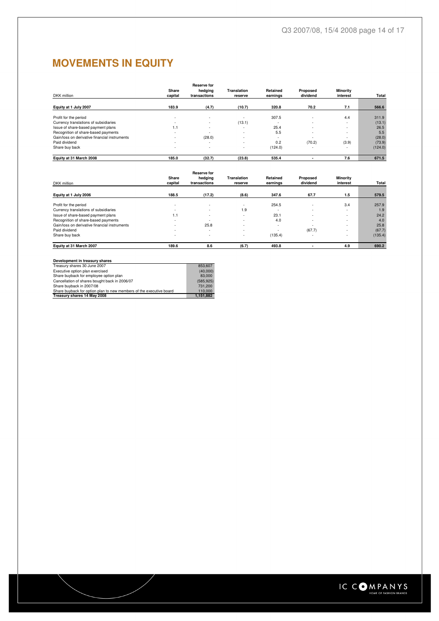# **MOVEMENTS IN EQUITY**

|                                               |         | <b>Reserve for</b>       |                    |          |          |          |         |
|-----------------------------------------------|---------|--------------------------|--------------------|----------|----------|----------|---------|
|                                               | Share   | hedging                  | <b>Translation</b> | Retained | Proposed | Minority |         |
| DKK million                                   | capital | transactions             | reserve            | earnings | dividend | interest | Total   |
| Equity at 1 July 2007                         | 183.9   | (4.7)                    | (10.7)             | 320.8    | 70.2     | 7.1      | 566.6   |
| Profit for the period                         | ۰       | $\overline{\phantom{a}}$ |                    | 307.5    | $\sim$   | 4.4      | 311.9   |
| Currency translations of subsidiaries         | ٠       |                          | (13.1)             |          |          | ٠        | (13.1)  |
| Issue of share-based payment plans            | 1.1     | $\overline{\phantom{a}}$ | ٠                  | 25.4     | $\sim$   | ٠        | 26.5    |
| Recognition of share-based payments           | ۰       | $\sim$                   | ٠                  | 5.5      | $\sim$   | ٠        | 5.5     |
| Gain/loss on derivative financial instruments |         | (28.0)                   |                    |          |          | ٠        | (28.0)  |
| Paid dividend                                 | ۰       | $\overline{\phantom{a}}$ | ٠                  | 0.2      | (70.2)   | (3.9)    | (73.9)  |
| Share buy back                                | $\sim$  |                          | ٠                  | (124.0)  | $\sim$   | ٠        | (124.0) |
| Equity at 31 March 2008                       | 185.0   | (32.7)                   | (23.8)             | 535.4    |          | 7.6      | 671.5   |
|                                               |         |                          |                    |          |          |          |         |

| DKK million                                   | Share<br>capital | <b>Reserve for</b><br>hedging<br>transactions | <b>Translation</b><br>reserve | Retained<br>earnings | Proposed<br>dividend | Minority<br>interest | Total   |
|-----------------------------------------------|------------------|-----------------------------------------------|-------------------------------|----------------------|----------------------|----------------------|---------|
| Equity at 1 July 2006                         | 188.5            | (17.2)                                        | (8.6)                         | 347.6                | 67.7                 | 1.5                  | 579.5   |
| Profit for the period                         | ۰                | $\overline{\phantom{a}}$                      |                               | 254.5                | ۰                    | 3.4                  | 257.9   |
| Currency translations of subsidiaries         | ۰                | ٠                                             | 1.9                           | ۰                    | ۰                    |                      | 1.9     |
| Issue of share-based payment plans            | 1.1              | $\overline{\phantom{a}}$                      |                               | 23.1                 | ۰                    |                      | 24.2    |
| Recognition of share-based payments           | ۰                | ٠                                             |                               | 4.0                  | ٠                    |                      | 4.0     |
| Gain/loss on derivative financial instruments |                  | 25.8                                          |                               | ٠                    | ٠                    |                      | 25.8    |
| Paid dividend                                 | ۰                | ٠                                             |                               | ٠                    | (67.7)               |                      | (67.7)  |
| Share buy back                                | ۰                | $\overline{\phantom{a}}$                      |                               | (135.4)              |                      |                      | (135.4) |
| Equity at 31 March 2007                       | 189.6            | 8.6                                           | (6.7)                         | 493.8                |                      | 4.9                  | 690.2   |

| Development in treasury shares                                      |            |
|---------------------------------------------------------------------|------------|
| Treasury shares 30 June 2007                                        | 853,607    |
| Executive option plan exercised                                     | (40,000)   |
| Share buyback for employee option plan                              | 83,000     |
| Cancellation of shares bought back in 2006/07                       | (585, 925) |
| Share buyback in 2007/08                                            | 731.200    |
| Share buyback for option plan to new members of the executive board | 110,000    |
| Treasury shares 14 May 2008                                         | 1.151.882  |

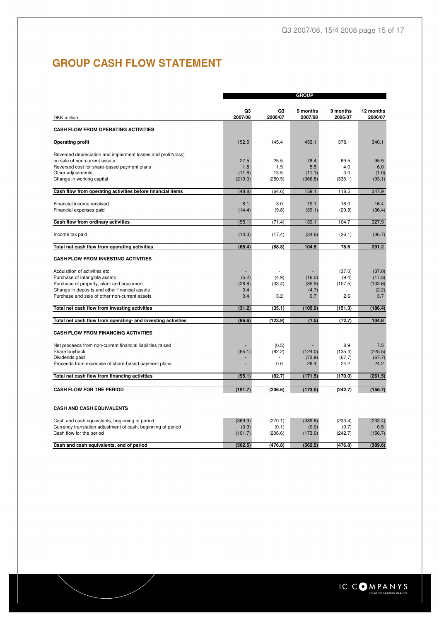# **GROUP CASH FLOW STATEMENT**

|                                                                                                |         |         | <b>GROUP</b> |          |           |
|------------------------------------------------------------------------------------------------|---------|---------|--------------|----------|-----------|
|                                                                                                | Q3      | Q3      | 9 months     | 9 months | 12 months |
| DKK million                                                                                    | 2007/08 | 2006/07 | 2007/08      | 2006/07  | 2006/07   |
| <b>CASH FLOW FROM OPERATING ACTIVITIES</b>                                                     |         |         |              |          |           |
| <b>Operating profit</b>                                                                        | 152.5   | 145.4   | 453.1        | 378.1    | 340.1     |
|                                                                                                |         |         |              |          |           |
| Reversed depreciation and impairment losses and profit/(loss)<br>on sale of non-current assets | 27.5    | 25.5    | 78.4         | 69.5     | 95.9      |
| Reversed cost for share-based payment plans                                                    | 1.8     | 1.5     | 5.5          | 4.0      | 6.0       |
| Other adjustments                                                                              | (11.6)  | 13.5    | (11.1)       | 3.0      | (1.0)     |
| Change in working capital                                                                      | (219.0) | (250.5) | (366.8)      | (336.1)  | (93.1)    |
| Cash flow from operating activities before financial items                                     | (48.8)  | (64.6)  | 159.1        | 118.5    | 347.9     |
| Financial income received                                                                      | 8.1     | 3.0     | 19.1         | 16.0     | 16.4      |
| Financial expenses paid                                                                        | (14.4)  | (9.8)   | (39.1)       | (29.8)   | (36.4)    |
| Cash flow from ordinary activities                                                             | (55.1)  | (71.4)  | 139.1        | 104.7    | 327.9     |
|                                                                                                |         |         |              |          |           |
| Income tax paid                                                                                | (10.3)  | (17.4)  | (34.6)       | (26.1)   | (36.7)    |
| Total net cash flow from operating activities                                                  | (65.4)  | (88.8)  | 104.5        | 78.6     | 291.2     |
| <b>CASH FLOW FROM INVESTING ACTIVITIES</b>                                                     |         |         |              |          |           |
| Acquisition of activities etc.                                                                 |         |         |              | (37.0)   | (37.0)    |
| Purchase of intangible assets                                                                  | (5.2)   | (4.9)   | (16.0)       | (9.4)    | (17.3)    |
| Purchase of property, plant and equipment                                                      | (26.8)  | (33.4)  | (85.9)       | (107.5)  | (133.6)   |
| Change in deposits and other financial assets                                                  | 0.4     |         | (4.7)        |          | (2.2)     |
| Purchase and sale of other non-current assets                                                  | 0.4     | 3.2     | 0.7          | 2.6      | 3.7       |
| Total net cash flow from investing activities                                                  | (31.2)  | (35.1)  | (105.9)      | (151.3)  | (186.4)   |
| Total net cash flow from operating- and investing activities                                   | (96.6)  | (123.9) | (1.5)        | (72.7)   | 104.8     |
| <b>CASH FLOW FROM FINANCING ACTIVITIES</b>                                                     |         |         |              |          |           |
| Net proceeds from non-current financial liabilities raised                                     |         | (0.5)   |              | 8.9      | 7.5       |
| Share buyback                                                                                  | (95.1)  | (82.2)  | (124.0)      | (135.4)  | (225.5)   |
| Dividends paid                                                                                 |         |         | (73.9)       | (67.7)   | (67.7)    |
| Proceeds from excercise of share-based payment plans                                           |         | 0.0     | 26.4         | 24.2     | 24.2      |
| Total net cash flow from financing activities                                                  | (95.1)  | (82.7)  | (171.5)      | (170.0)  | (261.5)   |
| <b>CASH FLOW FOR THE PERIOD</b>                                                                | (191.7) | (206.6) | (173.0)      | (242.7)  | (156.7)   |
|                                                                                                |         |         |              |          |           |
| <b>CASH AND CASH EQUIVALENTS</b>                                                               |         |         |              |          |           |
| Cash and cash equivalents, beginning of period                                                 | (369.9) | (270.1) | (389.6)      | (233.4)  | (233.4)   |
| Currency translation adjustment of cash, beginning of period                                   | (0.9)   | (0.1)   | (0.0)        | (0.7)    | 0.5       |
| Cash flow for the period                                                                       | (191.7) | (206.6) | (173.0)      | (242.7)  | (156.7)   |
| Cash and cash equivalents, end of period                                                       | (562.5) | (476.8) | (562.5)      | (476.8)  | (389.6)   |

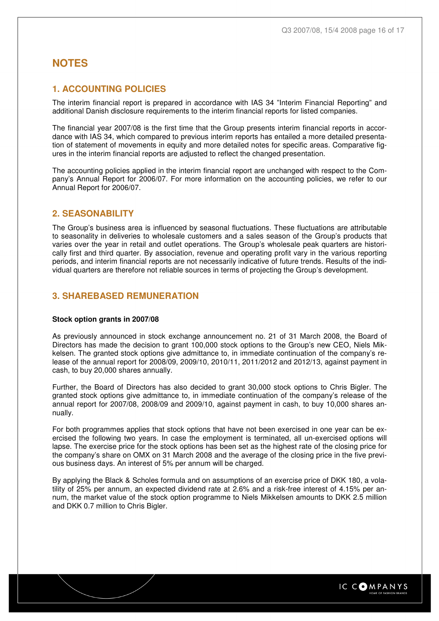## **NOTES**

## **1. ACCOUNTING POLICIES**

The interim financial report is prepared in accordance with IAS 34 "Interim Financial Reporting" and additional Danish disclosure requirements to the interim financial reports for listed companies.

The financial year 2007/08 is the first time that the Group presents interim financial reports in accordance with IAS 34, which compared to previous interim reports has entailed a more detailed presentation of statement of movements in equity and more detailed notes for specific areas. Comparative figures in the interim financial reports are adjusted to reflect the changed presentation.

The accounting policies applied in the interim financial report are unchanged with respect to the Company's Annual Report for 2006/07. For more information on the accounting policies, we refer to our Annual Report for 2006/07.

### **2. SEASONABILITY**

The Group's business area is influenced by seasonal fluctuations. These fluctuations are attributable to seasonality in deliveries to wholesale customers and a sales season of the Group's products that varies over the year in retail and outlet operations. The Group's wholesale peak quarters are historically first and third quarter. By association, revenue and operating profit vary in the various reporting periods, and interim financial reports are not necessarily indicative of future trends. Results of the individual quarters are therefore not reliable sources in terms of projecting the Group's development.

## **3. SHAREBASED REMUNERATION**

#### **Stock option grants in 2007/08**

As previously announced in stock exchange announcement no. 21 of 31 March 2008, the Board of Directors has made the decision to grant 100,000 stock options to the Group's new CEO, Niels Mikkelsen. The granted stock options give admittance to, in immediate continuation of the company's release of the annual report for 2008/09, 2009/10, 2010/11, 2011/2012 and 2012/13, against payment in cash, to buy 20,000 shares annually.

Further, the Board of Directors has also decided to grant 30,000 stock options to Chris Bigler. The granted stock options give admittance to, in immediate continuation of the company's release of the annual report for 2007/08, 2008/09 and 2009/10, against payment in cash, to buy 10,000 shares annually.

For both programmes applies that stock options that have not been exercised in one year can be exercised the following two years. In case the employment is terminated, all un-exercised options will lapse. The exercise price for the stock options has been set as the highest rate of the closing price for the company's share on OMX on 31 March 2008 and the average of the closing price in the five previous business days. An interest of 5% per annum will be charged.

By applying the Black & Scholes formula and on assumptions of an exercise price of DKK 180, a volatility of 25% per annum, an expected dividend rate at 2.6% and a risk-free interest of 4.15% per annum, the market value of the stock option programme to Niels Mikkelsen amounts to DKK 2.5 million and DKK 0.7 million to Chris Bigler.